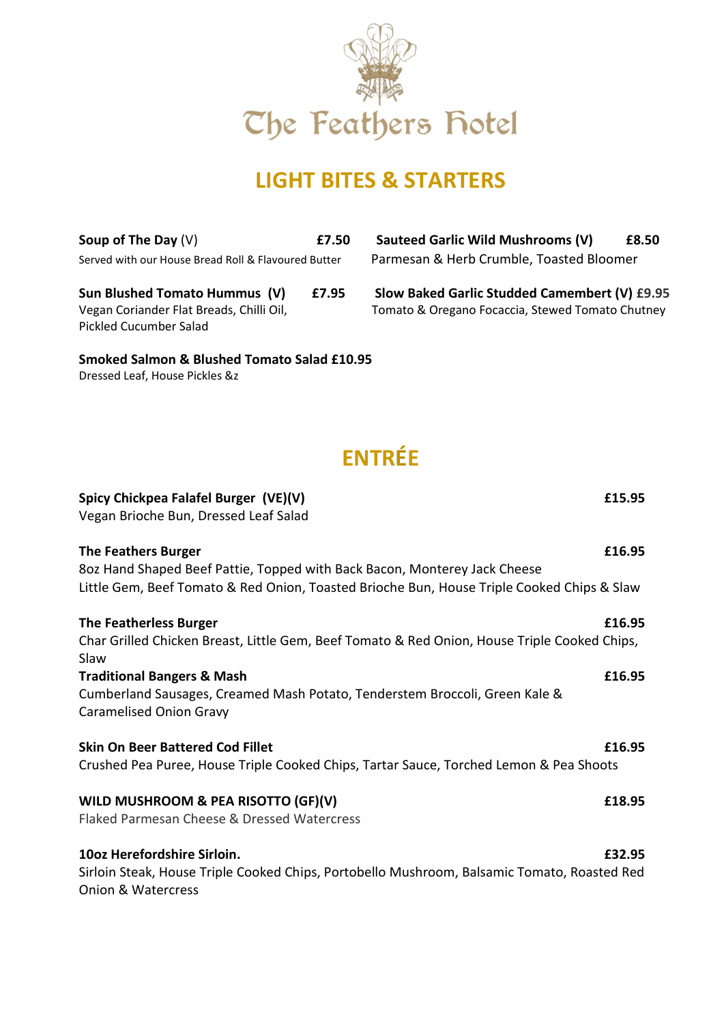

### **LIGHT BITES & STARTERS**

Pickled Cucumber Salad

**Smoked Salmon & Blushed Tomato Salad £10.95** Dressed Leaf, House Pickles &z

**Soup of The Day** (V) **£7.50 Sauteed Garlic Wild Mushrooms (V) £8.50** Served with our House Bread Roll & Flavoured Butter Parmesan & Herb Crumble, Toasted Bloomer

**Sun Blushed Tomato Hummus (V) £7.95 Slow Baked Garlic Studded Camembert (V) £9.95** Vegan Coriander Flat Breads, Chilli Oil, Tomato & Oregano Focaccia, Stewed Tomato Chutney

# **ENTRÉE**

| Spicy Chickpea Falafel Burger (VE)(V)                                                        | £15.95 |
|----------------------------------------------------------------------------------------------|--------|
| Vegan Brioche Bun, Dressed Leaf Salad                                                        |        |
| <b>The Feathers Burger</b>                                                                   | £16.95 |
| 8oz Hand Shaped Beef Pattie, Topped with Back Bacon, Monterey Jack Cheese                    |        |
| Little Gem, Beef Tomato & Red Onion, Toasted Brioche Bun, House Triple Cooked Chips & Slaw   |        |
| <b>The Featherless Burger</b>                                                                | £16.95 |
| Char Grilled Chicken Breast, Little Gem, Beef Tomato & Red Onion, House Triple Cooked Chips, |        |
| Slaw                                                                                         |        |
| <b>Traditional Bangers &amp; Mash</b>                                                        | £16.95 |
| Cumberland Sausages, Creamed Mash Potato, Tenderstem Broccoli, Green Kale &                  |        |
| <b>Caramelised Onion Gravy</b>                                                               |        |
| <b>Skin On Beer Battered Cod Fillet</b>                                                      | £16.95 |
| Crushed Pea Puree, House Triple Cooked Chips, Tartar Sauce, Torched Lemon & Pea Shoots       |        |
| WILD MUSHROOM & PEA RISOTTO (GF)(V)                                                          | £18.95 |
| Flaked Parmesan Cheese & Dressed Watercress                                                  |        |
| 10oz Herefordshire Sirloin.                                                                  | £32.95 |
| Sirloin Steak, House Triple Cooked Chips, Portobello Mushroom, Balsamic Tomato, Roasted Red  |        |
| Onion & Watercress                                                                           |        |